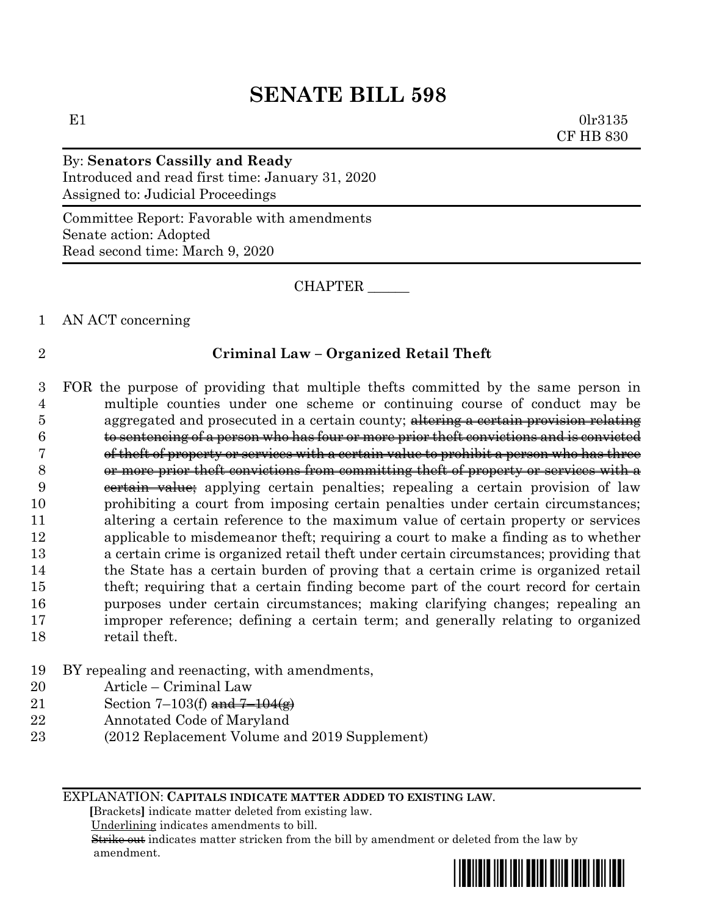# **SENATE BILL 598**

E1  $0 \text{lr} 3135$ CF HB 830

# By: **Senators Cassilly and Ready**

Introduced and read first time: January 31, 2020 Assigned to: Judicial Proceedings

Committee Report: Favorable with amendments Senate action: Adopted Read second time: March 9, 2020

CHAPTER \_\_\_\_\_\_

#### 1 AN ACT concerning

### 2 **Criminal Law – Organized Retail Theft**

 FOR the purpose of providing that multiple thefts committed by the same person in multiple counties under one scheme or continuing course of conduct may be 5 aggregated and prosecuted in a certain county; altering a certain provision relating to sentencing of a person who has four or more prior theft convictions and is convicted of theft of property or services with a certain value to prohibit a person who has three or more prior theft convictions from committing theft of property or services with a 9 eertain value; applying certain penalties; repealing a certain provision of law prohibiting a court from imposing certain penalties under certain circumstances; altering a certain reference to the maximum value of certain property or services applicable to misdemeanor theft; requiring a court to make a finding as to whether a certain crime is organized retail theft under certain circumstances; providing that the State has a certain burden of proving that a certain crime is organized retail theft; requiring that a certain finding become part of the court record for certain purposes under certain circumstances; making clarifying changes; repealing an improper reference; defining a certain term; and generally relating to organized retail theft.

### 19 BY repealing and reenacting, with amendments,

- 20 Article Criminal Law
- 21 Section 7–103(f) and  $7-104(g)$
- 22 Annotated Code of Maryland
- 23 (2012 Replacement Volume and 2019 Supplement)

EXPLANATION: **CAPITALS INDICATE MATTER ADDED TO EXISTING LAW**.

 **[**Brackets**]** indicate matter deleted from existing law.

Underlining indicates amendments to bill.

 Strike out indicates matter stricken from the bill by amendment or deleted from the law by amendment.

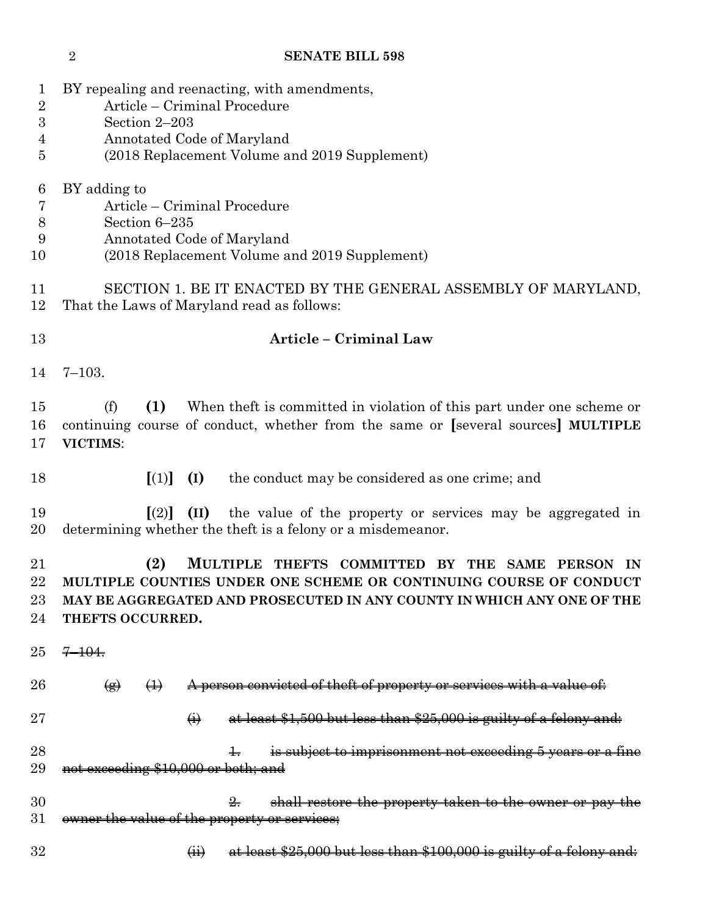| 1<br>$\overline{2}$<br>3 | BY repealing and reenacting, with amendments,<br>Article – Criminal Procedure<br>Section 2-203                                                                                                                                                                           |  |  |  |  |
|--------------------------|--------------------------------------------------------------------------------------------------------------------------------------------------------------------------------------------------------------------------------------------------------------------------|--|--|--|--|
| 4                        | Annotated Code of Maryland                                                                                                                                                                                                                                               |  |  |  |  |
| 5                        | (2018 Replacement Volume and 2019 Supplement)                                                                                                                                                                                                                            |  |  |  |  |
|                          |                                                                                                                                                                                                                                                                          |  |  |  |  |
| 6                        | BY adding to                                                                                                                                                                                                                                                             |  |  |  |  |
| 7                        | Article – Criminal Procedure                                                                                                                                                                                                                                             |  |  |  |  |
| 8                        | Section 6-235                                                                                                                                                                                                                                                            |  |  |  |  |
| 9                        | Annotated Code of Maryland                                                                                                                                                                                                                                               |  |  |  |  |
| 10                       | (2018 Replacement Volume and 2019 Supplement)                                                                                                                                                                                                                            |  |  |  |  |
| 11<br>12                 | SECTION 1. BE IT ENACTED BY THE GENERAL ASSEMBLY OF MARYLAND,<br>That the Laws of Maryland read as follows:                                                                                                                                                              |  |  |  |  |
| 13                       | Article – Criminal Law                                                                                                                                                                                                                                                   |  |  |  |  |
|                          |                                                                                                                                                                                                                                                                          |  |  |  |  |
| 14                       | $7 - 103.$                                                                                                                                                                                                                                                               |  |  |  |  |
| 15                       | (f)<br>(1)<br>When the ft is committed in violation of this part under one scheme or                                                                                                                                                                                     |  |  |  |  |
| 16                       | continuing course of conduct, whether from the same or [several sources] MULTIPLE                                                                                                                                                                                        |  |  |  |  |
| 17                       | VICTIMS:                                                                                                                                                                                                                                                                 |  |  |  |  |
|                          |                                                                                                                                                                                                                                                                          |  |  |  |  |
| 18                       | $\lceil (1) \rceil$<br>the conduct may be considered as one crime; and<br>(I)                                                                                                                                                                                            |  |  |  |  |
| 19                       | $\left[ \mathrm{(2)}\right]$<br>(II)<br>the value of the property or services may be aggregated in                                                                                                                                                                       |  |  |  |  |
| 20                       | determining whether the theft is a felony or a misdemeanor.                                                                                                                                                                                                              |  |  |  |  |
| 21<br>22<br>23<br>24     | (2)<br><b>MULTIPLE</b><br><b>COMMITTED</b><br><b>THEFTS</b><br>BY THE<br>SAME<br><b>PERSON</b><br>IN<br>MULTIPLE COUNTIES UNDER ONE SCHEME OR CONTINUING COURSE OF CONDUCT<br>MAY BE AGGREGATED AND PROSECUTED IN ANY COUNTY IN WHICH ANY ONE OF THE<br>THEFTS OCCURRED. |  |  |  |  |
| 25                       | $7 - 104.$                                                                                                                                                                                                                                                               |  |  |  |  |
| 26                       | A person convicted of theft of property or services with a value of:<br>$\leftrightarrow$<br>$\circledast$                                                                                                                                                               |  |  |  |  |
| 27                       | at least \$1,500 but less than \$25,000 is guilty of a felony and:<br>$\ddot{\Theta}$                                                                                                                                                                                    |  |  |  |  |
| 28                       | is subject to imprisonment not exceeding 5 years or a fine                                                                                                                                                                                                               |  |  |  |  |
| 29                       | not exceeding \$10,000 or both; and                                                                                                                                                                                                                                      |  |  |  |  |
|                          |                                                                                                                                                                                                                                                                          |  |  |  |  |
| 30                       | shall restore the property taken to the owner or pay the<br>$\frac{9}{2}$                                                                                                                                                                                                |  |  |  |  |
| 31                       | owner the value of the property or services;                                                                                                                                                                                                                             |  |  |  |  |
| 32                       | $\overleftrightarrow{H}$<br>at least $$25,000$ but less than $$100,000$ is guilty of a felony and:                                                                                                                                                                       |  |  |  |  |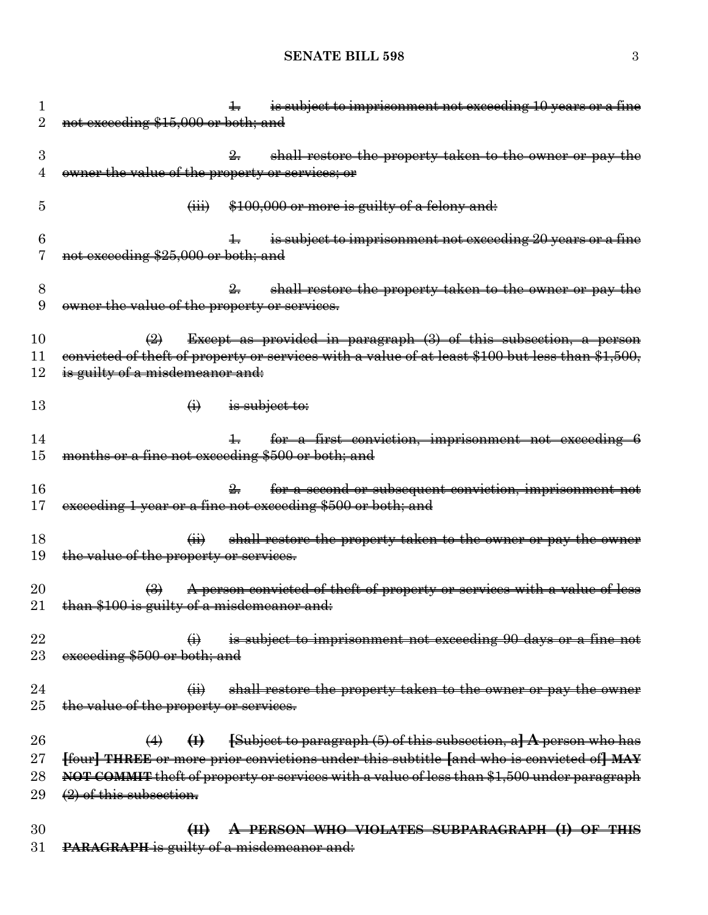## **SENATE BILL 598** 3

| T               | is subject to imprisonment not exceeding 10 years or a fine<br>╈╕                                |
|-----------------|--------------------------------------------------------------------------------------------------|
| 2               | not exceeding \$15,000 or both; and                                                              |
|                 |                                                                                                  |
| 3               | shall restore the property taken to the owner or pay the                                         |
| 4               | owner the value of the property or services; or                                                  |
| 5               | \$100,000 or more is guilty of a felony and:<br>$\overline{(\mathbf{iii})}$                      |
| 6               | is subject to imprisonment not exceeding 20 years or a fine                                      |
|                 | not exceeding \$25,000 or both; and                                                              |
|                 |                                                                                                  |
| 8               | shall restore the property taken to the owner or pay<br>$\frac{9}{2}$                            |
| 9               | owner the value of the property or services.                                                     |
|                 |                                                                                                  |
| 10              | Except as provided in paragraph (3) of this subsection, a person<br>$\left(\frac{1}{2}\right)$   |
| 11              | convicted of theft of property or services with a value of at least \$100 but less than \$1,500, |
| 12              | is guilty of a misdemeanor and:                                                                  |
| 13              | $\leftrightarrow$<br>is subject to:                                                              |
|                 |                                                                                                  |
| 14              | for a first conviction, imprisonment not exceeding 6<br>$\pm$                                    |
| 15              | months or a fine not exceeding \$500 or both; and                                                |
|                 |                                                                                                  |
| 16              | for a second or subsequent conviction, imprisonment not                                          |
| $17\,$          | exceeding 1 year or a fine not exceeding \$500 or both; and                                      |
|                 |                                                                                                  |
| 18              | shall restore the property taken to the owner or pay the owner<br>$\overrightarrow{41}$          |
| 19              | the value of the property or services.                                                           |
| $\overline{20}$ | A person convicted of theft of property or services with a value of less<br>$\bigoplus$          |
| 21              | than \$100 is guilty of a misdemeanor and:                                                       |
|                 |                                                                                                  |
| 22              | is subject to imprisonment not exceeding 90 days or a fine not                                   |
| 23              | exceeding \$500 or both; and                                                                     |
|                 |                                                                                                  |
| 24              | $\overline{44}$<br>shall restore the property taken to the owner or pay the owner                |
| 25              | the value of the property or services.                                                           |
|                 |                                                                                                  |
| 26              | $\{Subject to paragraph (5) of this subsection, a\} A person who has$<br>$\bigoplus$<br>(4)      |
| $27\,$          | [four] THREE or more prior convictions under this subtitle [and who is convicted of] MAY         |
| $^{28}$         | NOT COMMIT theft of property or services with a value of less than \$1,500 under paragraph       |
| 29              | $(2)$ of this subsection.                                                                        |
| 30              | A PERSON WHO VIOLATES SUBPARAGRAPH (I)<br>$\bigoplus$<br><del>-THIS</del><br>$\Theta$ F          |
| 31              | PARAGRAPH is guilty of a misdemeanor and:                                                        |
|                 |                                                                                                  |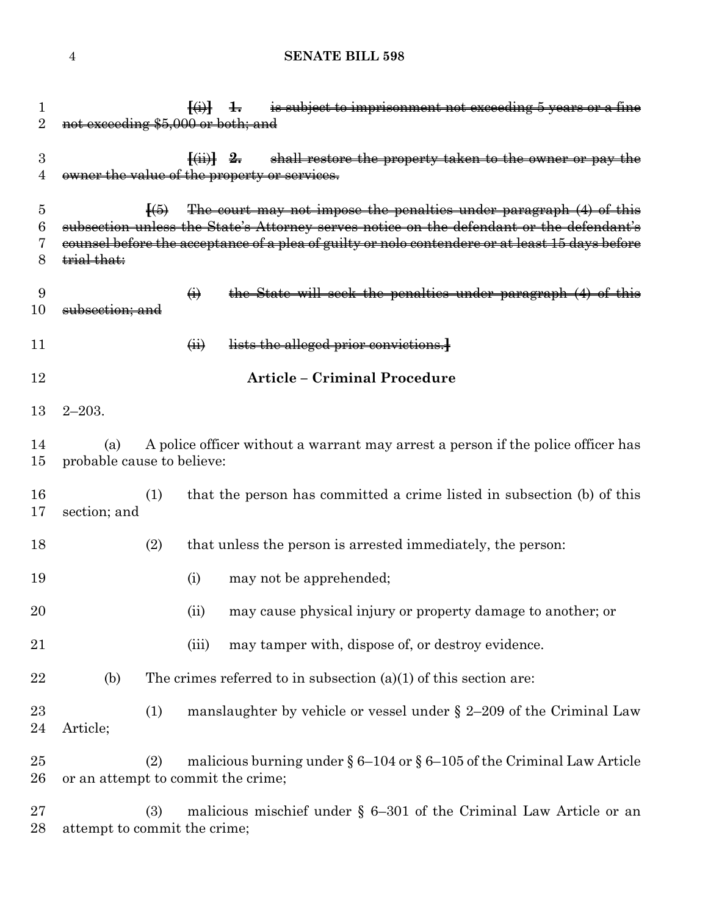### **SENATE BILL 598**

| 1<br>$\overline{2}$   | not exceeding \$5,000 or both; and                                                                                    |                            | is subject to imprisonment not exceeding 5 years or a fine<br>$\left\{ \frac{1}{2} \right\}$ +                                                                 |  |
|-----------------------|-----------------------------------------------------------------------------------------------------------------------|----------------------------|----------------------------------------------------------------------------------------------------------------------------------------------------------------|--|
| $\boldsymbol{3}$<br>4 |                                                                                                                       |                            | $\overline{f(i)}$ 2. shall restore the property taken to the owner or pay the<br>owner the value of the property or services.                                  |  |
| 5<br>6                |                                                                                                                       | $\overline{H(5)}$          | The court may not impose the penalties under paragraph (4) of this<br>subsection unless the State's Attorney serves notice on the defendant or the defendant's |  |
| 7<br>8                | trial that:                                                                                                           |                            | counsel before the acceptance of a plea of guilty or nolo contendere or at least 15 days before                                                                |  |
| 9<br>10               | subsection; and                                                                                                       | $\ddot{\theta}$            | the State will seek the penalties under paragraph (4) of this                                                                                                  |  |
| 11                    |                                                                                                                       | $\overline{(\mathbf{ii})}$ | lists the alleged prior convictions.                                                                                                                           |  |
| 12                    |                                                                                                                       |                            | <b>Article - Criminal Procedure</b>                                                                                                                            |  |
| 13                    | $2 - 203.$                                                                                                            |                            |                                                                                                                                                                |  |
| 14<br>15              | A police officer without a warrant may arrest a person if the police officer has<br>(a)<br>probable cause to believe: |                            |                                                                                                                                                                |  |
| 16<br>17              | section; and                                                                                                          | (1)                        | that the person has committed a crime listed in subsection (b) of this                                                                                         |  |
| 18                    |                                                                                                                       | (2)                        | that unless the person is arrested immediately, the person:                                                                                                    |  |
| 19                    |                                                                                                                       | (i)                        | may not be apprehended;                                                                                                                                        |  |
| 20                    |                                                                                                                       | (ii)                       | may cause physical injury or property damage to another; or                                                                                                    |  |
| 21                    |                                                                                                                       | (iii)                      | may tamper with, dispose of, or destroy evidence.                                                                                                              |  |
| 22                    | (b)                                                                                                                   |                            | The crimes referred to in subsection $(a)(1)$ of this section are:                                                                                             |  |
| 23<br>24              | Article;                                                                                                              | (1)                        | manslaughter by vehicle or vessel under $\S$ 2-209 of the Criminal Law                                                                                         |  |
| 25<br>26              | or an attempt to commit the crime;                                                                                    | (2)                        | malicious burning under $\S 6-104$ or $\S 6-105$ of the Criminal Law Article                                                                                   |  |
| 27<br>28              | attempt to commit the crime;                                                                                          | (3)                        | malicious mischief under $\S$ 6-301 of the Criminal Law Article or an                                                                                          |  |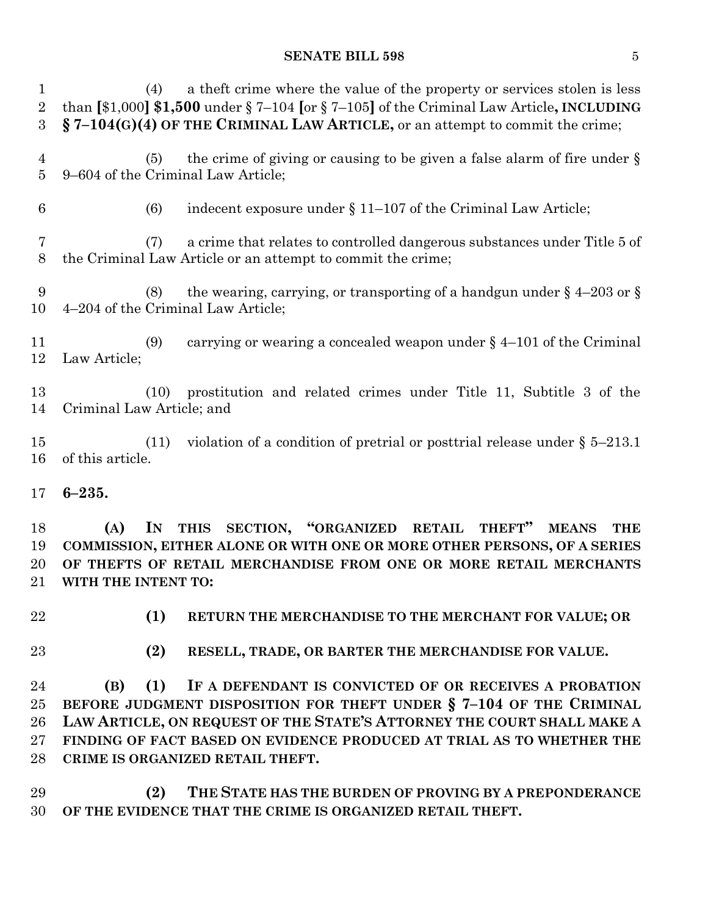#### **SENATE BILL 598** 5

 (4) a theft crime where the value of the property or services stolen is less than **[**\$1,000**] \$1,500** under § 7–104 **[**or § 7–105**]** of the Criminal Law Article**, INCLUDING § 7–104(G)(4) OF THE CRIMINAL LAW ARTICLE,** or an attempt to commit the crime; (5) the crime of giving or causing to be given a false alarm of fire under § 9–604 of the Criminal Law Article; 6 (6) indecent exposure under  $\S 11-107$  of the Criminal Law Article; (7) a crime that relates to controlled dangerous substances under Title 5 of the Criminal Law Article or an attempt to commit the crime; 9 (8) the wearing, carrying, or transporting of a handgun under  $\S$  4–203 or  $\S$  4–204 of the Criminal Law Article; (9) carrying or wearing a concealed weapon under § 4–101 of the Criminal Law Article; (10) prostitution and related crimes under Title 11, Subtitle 3 of the Criminal Law Article; and (11) violation of a condition of pretrial or posttrial release under § 5–213.1 of this article. **6–235. (A) IN THIS SECTION, "ORGANIZED RETAIL THEFT" MEANS THE COMMISSION, EITHER ALONE OR WITH ONE OR MORE OTHER PERSONS, OF A SERIES OF THEFTS OF RETAIL MERCHANDISE FROM ONE OR MORE RETAIL MERCHANTS WITH THE INTENT TO: (1) RETURN THE MERCHANDISE TO THE MERCHANT FOR VALUE; OR (2) RESELL, TRADE, OR BARTER THE MERCHANDISE FOR VALUE. (B) (1) IF A DEFENDANT IS CONVICTED OF OR RECEIVES A PROBATION BEFORE JUDGMENT DISPOSITION FOR THEFT UNDER § 7–104 OF THE CRIMINAL** 

 **LAW ARTICLE, ON REQUEST OF THE STATE'S ATTORNEY THE COURT SHALL MAKE A FINDING OF FACT BASED ON EVIDENCE PRODUCED AT TRIAL AS TO WHETHER THE CRIME IS ORGANIZED RETAIL THEFT.**

 **(2) THE STATE HAS THE BURDEN OF PROVING BY A PREPONDERANCE OF THE EVIDENCE THAT THE CRIME IS ORGANIZED RETAIL THEFT.**